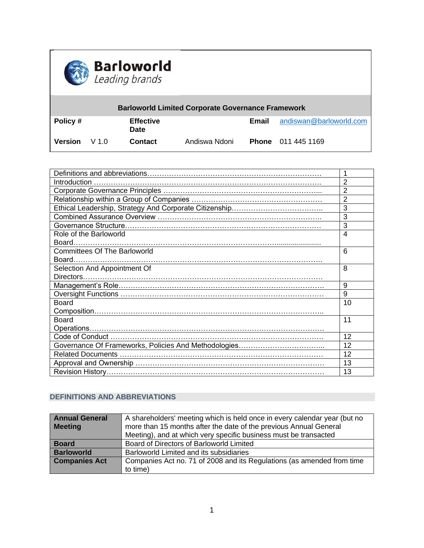

| <b>Barloworld Limited Corporate Governance Framework</b> |      |                          |               |       |                           |  |
|----------------------------------------------------------|------|--------------------------|---------------|-------|---------------------------|--|
| $\vert$ Policy #                                         |      | <b>Effective</b><br>Date |               | Email | andiswan@barloworld.com   |  |
| ∣ Version                                                | V1.0 | <b>Contact</b>           | Andiswa Ndoni |       | <b>Phone</b> 011 445 1169 |  |

|                                     | $\overline{2}$ |  |
|-------------------------------------|----------------|--|
|                                     | $\overline{2}$ |  |
|                                     | $\overline{2}$ |  |
|                                     | 3              |  |
|                                     | 3              |  |
|                                     | 3              |  |
| Role of the Barloworld              | $\overline{4}$ |  |
|                                     |                |  |
| <b>Committees Of The Barloworld</b> | 6              |  |
|                                     |                |  |
| Selection And Appointment Of        | 8              |  |
|                                     |                |  |
|                                     | 9              |  |
|                                     | 9              |  |
| <b>Board</b>                        | 10             |  |
|                                     |                |  |
| <b>Board</b>                        |                |  |
|                                     |                |  |
|                                     | 12             |  |
|                                     | 12             |  |
|                                     | 12             |  |
|                                     | 13             |  |
|                                     | 13             |  |

# **DEFINITIONS AND ABBREVIATIONS**

| <b>Annual General</b> | A shareholders' meeting which is held once in every calendar year (but no |  |  |
|-----------------------|---------------------------------------------------------------------------|--|--|
| <b>Meeting</b>        | more than 15 months after the date of the previous Annual General         |  |  |
|                       | Meeting), and at which very specific business must be transacted          |  |  |
| <b>Board</b>          | Board of Directors of Barloworld Limited                                  |  |  |
| <b>Barloworld</b>     | Barloworld Limited and its subsidiaries                                   |  |  |
| <b>Companies Act</b>  | Companies Act no. 71 of 2008 and its Regulations (as amended from time    |  |  |
|                       | to time)                                                                  |  |  |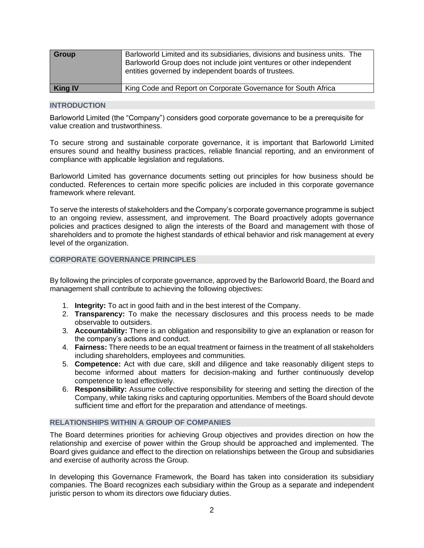| Group          | Barloworld Limited and its subsidiaries, divisions and business units. The<br>Barloworld Group does not include joint ventures or other independent<br>entities governed by independent boards of trustees. |
|----------------|-------------------------------------------------------------------------------------------------------------------------------------------------------------------------------------------------------------|
| <b>King IV</b> | King Code and Report on Corporate Governance for South Africa                                                                                                                                               |

### **INTRODUCTION**

Barloworld Limited (the "Company") considers good corporate governance to be a prerequisite for value creation and trustworthiness.

To secure strong and sustainable corporate governance, it is important that Barloworld Limited ensures sound and healthy business practices, reliable financial reporting, and an environment of compliance with applicable legislation and regulations.

Barloworld Limited has governance documents setting out principles for how business should be conducted. References to certain more specific policies are included in this corporate governance framework where relevant.

To serve the interests of stakeholders and the Company's corporate governance programme is subject to an ongoing review, assessment, and improvement. The Board proactively adopts governance policies and practices designed to align the interests of the Board and management with those of shareholders and to promote the highest standards of ethical behavior and risk management at every level of the organization.

## **CORPORATE GOVERNANCE PRINCIPLES**

By following the principles of corporate governance, approved by the Barloworld Board, the Board and management shall contribute to achieving the following objectives:

- 1. **Integrity:** To act in good faith and in the best interest of the Company.
- 2. **Transparency:** To make the necessary disclosures and this process needs to be made observable to outsiders.
- 3. **Accountability:** There is an obligation and responsibility to give an explanation or reason for the company's actions and conduct.
- 4. **Fairness:** There needs to be an equal treatment or fairness in the treatment of all stakeholders including shareholders, employees and communities.
- 5. **Competence:** Act with due care, skill and diligence and take reasonably diligent steps to become informed about matters for decision-making and further continuously develop competence to lead effectively.
- 6. **Responsibility:** Assume collective responsibility for steering and setting the direction of the Company, while taking risks and capturing opportunities. Members of the Board should devote sufficient time and effort for the preparation and attendance of meetings.

## **RELATIONSHIPS WITHIN A GROUP OF COMPANIES**

The Board determines priorities for achieving Group objectives and provides direction on how the relationship and exercise of power within the Group should be approached and implemented. The Board gives guidance and effect to the direction on relationships between the Group and subsidiaries and exercise of authority across the Group.

In developing this Governance Framework, the Board has taken into consideration its subsidiary companies. The Board recognizes each subsidiary within the Group as a separate and independent juristic person to whom its directors owe fiduciary duties.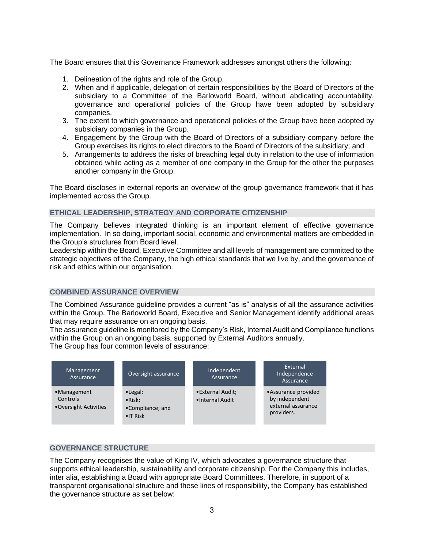The Board ensures that this Governance Framework addresses amongst others the following:

- 1. Delineation of the rights and role of the Group.
- 2. When and if applicable, delegation of certain responsibilities by the Board of Directors of the subsidiary to a Committee of the Barloworld Board, without abdicating accountability, governance and operational policies of the Group have been adopted by subsidiary companies.
- 3. The extent to which governance and operational policies of the Group have been adopted by subsidiary companies in the Group.
- 4. Engagement by the Group with the Board of Directors of a subsidiary company before the Group exercises its rights to elect directors to the Board of Directors of the subsidiary; and
- 5. Arrangements to address the risks of breaching legal duty in relation to the use of information obtained while acting as a member of one company in the Group for the other the purposes another company in the Group.

The Board discloses in external reports an overview of the group governance framework that it has implemented across the Group.

# **ETHICAL LEADERSHIP, STRATEGY AND CORPORATE CITIZENSHIP**

The Company believes integrated thinking is an important element of effective governance implementation. In so doing, important social, economic and environmental matters are embedded in the Group's structures from Board level.

Leadership within the Board, Executive Committee and all levels of management are committed to the strategic objectives of the Company, the high ethical standards that we live by, and the governance of risk and ethics within our organisation.

# **COMBINED ASSURANCE OVERVIEW**

The Combined Assurance guideline provides a current "as is" analysis of all the assurance activities within the Group. The Barloworld Board, Executive and Senior Management identify additional areas that may require assurance on an ongoing basis.

The assurance guideline is monitored by the Company's Risk, Internal Audit and Compliance functions within the Group on an ongoing basis, supported by External Auditors annually.

The Group has four common levels of assurance:



# **GOVERNANCE STRUCTURE**

The Company recognises the value of King IV, which advocates a governance structure that supports ethical leadership, sustainability and corporate citizenship. For the Company this includes, inter alia, establishing a Board with appropriate Board Committees. Therefore, in support of a transparent organisational structure and these lines of responsibility, the Company has established the governance structure as set below: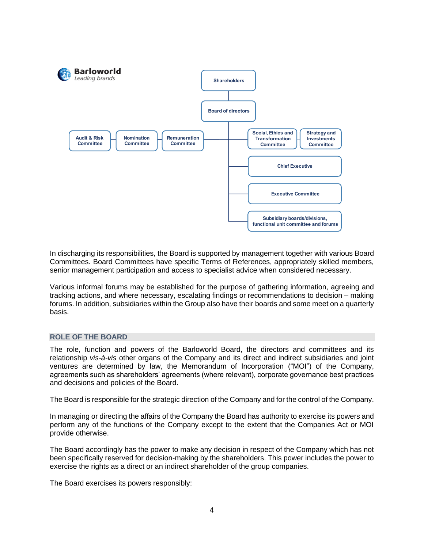

In discharging its responsibilities, the Board is supported by management together with various Board Committees. Board Committees have specific Terms of References, appropriately skilled members, senior management participation and access to specialist advice when considered necessary.

Various informal forums may be established for the purpose of gathering information, agreeing and tracking actions, and where necessary, escalating findings or recommendations to decision – making forums. In addition, subsidiaries within the Group also have their boards and some meet on a quarterly basis.

# **ROLE OF THE BOARD**

The role, function and powers of the Barloworld Board, the directors and committees and its relationship *vis-à-vis* other organs of the Company and its direct and indirect subsidiaries and joint ventures are determined by law, the Memorandum of Incorporation ("MOI") of the Company, agreements such as shareholders' agreements (where relevant), corporate governance best practices and decisions and policies of the Board.

The Board is responsible for the strategic direction of the Company and for the control of the Company.

In managing or directing the affairs of the Company the Board has authority to exercise its powers and perform any of the functions of the Company except to the extent that the Companies Act or MOI provide otherwise.

The Board accordingly has the power to make any decision in respect of the Company which has not been specifically reserved for decision-making by the shareholders. This power includes the power to exercise the rights as a direct or an indirect shareholder of the group companies.

The Board exercises its powers responsibly: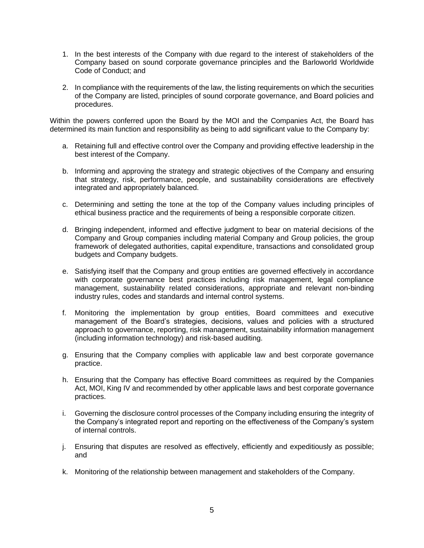- 1. In the best interests of the Company with due regard to the interest of stakeholders of the Company based on sound corporate governance principles and the Barloworld Worldwide Code of Conduct; and
- 2. In compliance with the requirements of the law, the listing requirements on which the securities of the Company are listed, principles of sound corporate governance, and Board policies and procedures.

Within the powers conferred upon the Board by the MOI and the Companies Act, the Board has determined its main function and responsibility as being to add significant value to the Company by:

- a. Retaining full and effective control over the Company and providing effective leadership in the best interest of the Company.
- b. Informing and approving the strategy and strategic objectives of the Company and ensuring that strategy, risk, performance, people, and sustainability considerations are effectively integrated and appropriately balanced.
- c. Determining and setting the tone at the top of the Company values including principles of ethical business practice and the requirements of being a responsible corporate citizen.
- d. Bringing independent, informed and effective judgment to bear on material decisions of the Company and Group companies including material Company and Group policies, the group framework of delegated authorities, capital expenditure, transactions and consolidated group budgets and Company budgets.
- e. Satisfying itself that the Company and group entities are governed effectively in accordance with corporate governance best practices including risk management, legal compliance management, sustainability related considerations, appropriate and relevant non-binding industry rules, codes and standards and internal control systems.
- f. Monitoring the implementation by group entities, Board committees and executive management of the Board's strategies, decisions, values and policies with a structured approach to governance, reporting, risk management, sustainability information management (including information technology) and risk-based auditing.
- g. Ensuring that the Company complies with applicable law and best corporate governance practice.
- h. Ensuring that the Company has effective Board committees as required by the Companies Act, MOI, King IV and recommended by other applicable laws and best corporate governance practices.
- i. Governing the disclosure control processes of the Company including ensuring the integrity of the Company's integrated report and reporting on the effectiveness of the Company's system of internal controls.
- j. Ensuring that disputes are resolved as effectively, efficiently and expeditiously as possible; and
- k. Monitoring of the relationship between management and stakeholders of the Company.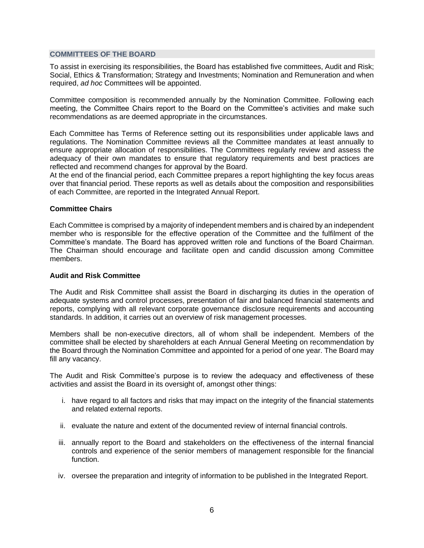### **COMMITTEES OF THE BOARD**

To assist in exercising its responsibilities, the Board has established five committees, Audit and Risk; Social, Ethics & Transformation; Strategy and Investments; Nomination and Remuneration and when required, *ad hoc* Committees will be appointed.

Committee composition is recommended annually by the Nomination Committee. Following each meeting, the Committee Chairs report to the Board on the Committee's activities and make such recommendations as are deemed appropriate in the circumstances.

Each Committee has Terms of Reference setting out its responsibilities under applicable laws and regulations. The Nomination Committee reviews all the Committee mandates at least annually to ensure appropriate allocation of responsibilities. The Committees regularly review and assess the adequacy of their own mandates to ensure that regulatory requirements and best practices are reflected and recommend changes for approval by the Board.

At the end of the financial period, each Committee prepares a report highlighting the key focus areas over that financial period. These reports as well as details about the composition and responsibilities of each Committee, are reported in the Integrated Annual Report.

#### **Committee Chairs**

Each Committee is comprised by a majority of independent members and is chaired by an independent member who is responsible for the effective operation of the Committee and the fulfilment of the Committee's mandate. The Board has approved written role and functions of the Board Chairman. The Chairman should encourage and facilitate open and candid discussion among Committee members.

## **Audit and Risk Committee**

The Audit and Risk Committee shall assist the Board in discharging its duties in the operation of adequate systems and control processes, presentation of fair and balanced financial statements and reports, complying with all relevant corporate governance disclosure requirements and accounting standards. In addition, it carries out an overview of risk management processes.

Members shall be non-executive directors, all of whom shall be independent. Members of the committee shall be elected by shareholders at each Annual General Meeting on recommendation by the Board through the Nomination Committee and appointed for a period of one year. The Board may fill any vacancy.

The Audit and Risk Committee's purpose is to review the adequacy and effectiveness of these activities and assist the Board in its oversight of, amongst other things:

- i. have regard to all factors and risks that may impact on the integrity of the financial statements and related external reports.
- ii. evaluate the nature and extent of the documented review of internal financial controls.
- iii. annually report to the Board and stakeholders on the effectiveness of the internal financial controls and experience of the senior members of management responsible for the financial function.
- iv. oversee the preparation and integrity of information to be published in the Integrated Report.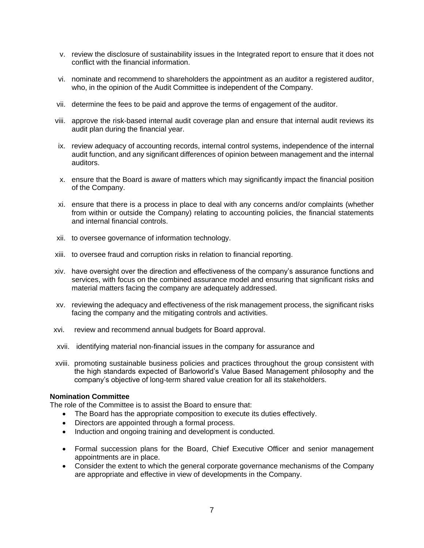- v. review the disclosure of sustainability issues in the Integrated report to ensure that it does not conflict with the financial information.
- vi. nominate and recommend to shareholders the appointment as an auditor a registered auditor, who, in the opinion of the Audit Committee is independent of the Company.
- vii. determine the fees to be paid and approve the terms of engagement of the auditor.
- viii. approve the risk-based internal audit coverage plan and ensure that internal audit reviews its audit plan during the financial year.
- ix. review adequacy of accounting records, internal control systems, independence of the internal audit function, and any significant differences of opinion between management and the internal auditors.
- x. ensure that the Board is aware of matters which may significantly impact the financial position of the Company.
- xi. ensure that there is a process in place to deal with any concerns and/or complaints (whether from within or outside the Company) relating to accounting policies, the financial statements and internal financial controls.
- xii. to oversee governance of information technology.
- xiii. to oversee fraud and corruption risks in relation to financial reporting.
- xiv. have oversight over the direction and effectiveness of the company's assurance functions and services, with focus on the combined assurance model and ensuring that significant risks and material matters facing the company are adequately addressed.
- xv. reviewing the adequacy and effectiveness of the risk management process, the significant risks facing the company and the mitigating controls and activities.
- xvi. review and recommend annual budgets for Board approval.
- xvii. identifying material non-financial issues in the company for assurance and
- xviii. promoting sustainable business policies and practices throughout the group consistent with the high standards expected of Barloworld's Value Based Management philosophy and the company's objective of long-term shared value creation for all its stakeholders.

#### **Nomination Committee**

The role of the Committee is to assist the Board to ensure that:

- The Board has the appropriate composition to execute its duties effectively.
- Directors are appointed through a formal process.
- Induction and ongoing training and development is conducted.
- Formal succession plans for the Board, Chief Executive Officer and senior management appointments are in place.
- Consider the extent to which the general corporate governance mechanisms of the Company are appropriate and effective in view of developments in the Company.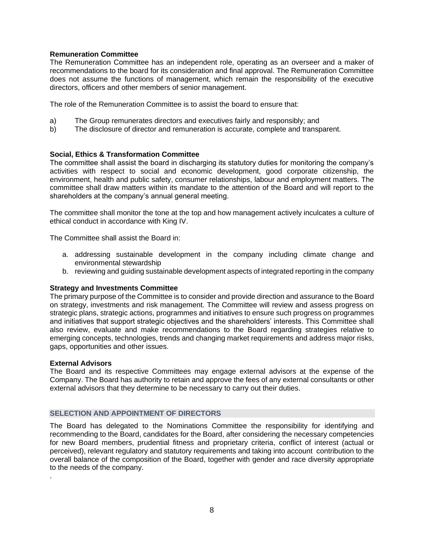# **Remuneration Committee**

The Remuneration Committee has an independent role, operating as an overseer and a maker of recommendations to the board for its consideration and final approval. The Remuneration Committee does not assume the functions of management, which remain the responsibility of the executive directors, officers and other members of senior management.

The role of the Remuneration Committee is to assist the board to ensure that:

- a) The Group remunerates directors and executives fairly and responsibly; and
- b) The disclosure of director and remuneration is accurate, complete and transparent.

# **Social, Ethics & Transformation Committee**

The committee shall assist the board in discharging its statutory duties for monitoring the company's activities with respect to social and economic development, good corporate citizenship, the environment, health and public safety, consumer relationships, labour and employment matters. The committee shall draw matters within its mandate to the attention of the Board and will report to the shareholders at the company's annual general meeting.

The committee shall monitor the tone at the top and how management actively inculcates a culture of ethical conduct in accordance with King IV.

The Committee shall assist the Board in:

- a. addressing sustainable development in the company including climate change and environmental stewardship
- b. reviewing and guiding sustainable development aspects of integrated reporting in the company

# **Strategy and Investments Committee**

The primary purpose of the Committee is to consider and provide direction and assurance to the Board on strategy, investments and risk management. The Committee will review and assess progress on strategic plans, strategic actions, programmes and initiatives to ensure such progress on programmes and initiatives that support strategic objectives and the shareholders' interests. This Committee shall also review, evaluate and make recommendations to the Board regarding strategies relative to emerging concepts, technologies, trends and changing market requirements and address major risks, gaps, opportunities and other issues.

# **External Advisors**

.

The Board and its respective Committees may engage external advisors at the expense of the Company. The Board has authority to retain and approve the fees of any external consultants or other external advisors that they determine to be necessary to carry out their duties.

# **SELECTION AND APPOINTMENT OF DIRECTORS**

The Board has delegated to the Nominations Committee the responsibility for identifying and recommending to the Board, candidates for the Board, after considering the necessary competencies for new Board members, prudential fitness and proprietary criteria, conflict of interest (actual or perceived), relevant regulatory and statutory requirements and taking into account contribution to the overall balance of the composition of the Board, together with gender and race diversity appropriate to the needs of the company.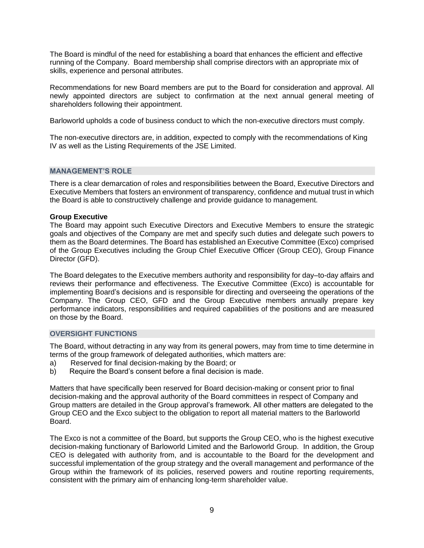The Board is mindful of the need for establishing a board that enhances the efficient and effective running of the Company. Board membership shall comprise directors with an appropriate mix of skills, experience and personal attributes.

Recommendations for new Board members are put to the Board for consideration and approval. All newly appointed directors are subject to confirmation at the next annual general meeting of shareholders following their appointment.

Barloworld upholds a code of business conduct to which the non-executive directors must comply.

The non-executive directors are, in addition, expected to comply with the recommendations of King IV as well as the Listing Requirements of the JSE Limited.

## **MANAGEMENT'S ROLE**

There is a clear demarcation of roles and responsibilities between the Board, Executive Directors and Executive Members that fosters an environment of transparency, confidence and mutual trust in which the Board is able to constructively challenge and provide guidance to management.

## **Group Executive**

The Board may appoint such Executive Directors and Executive Members to ensure the strategic goals and objectives of the Company are met and specify such duties and delegate such powers to them as the Board determines. The Board has established an Executive Committee (Exco) comprised of the Group Executives including the Group Chief Executive Officer (Group CEO), Group Finance Director (GFD).

The Board delegates to the Executive members authority and responsibility for day–to-day affairs and reviews their performance and effectiveness. The Executive Committee (Exco) is accountable for implementing Board's decisions and is responsible for directing and overseeing the operations of the Company. The Group CEO, GFD and the Group Executive members annually prepare key performance indicators, responsibilities and required capabilities of the positions and are measured on those by the Board.

## **OVERSIGHT FUNCTIONS**

The Board, without detracting in any way from its general powers, may from time to time determine in terms of the group framework of delegated authorities, which matters are:

- a) Reserved for final decision-making by the Board; or
- b) Require the Board's consent before a final decision is made.

Matters that have specifically been reserved for Board decision-making or consent prior to final decision-making and the approval authority of the Board committees in respect of Company and Group matters are detailed in the Group approval's framework. All other matters are delegated to the Group CEO and the Exco subject to the obligation to report all material matters to the Barloworld Board.

The Exco is not a committee of the Board, but supports the Group CEO, who is the highest executive decision-making functionary of Barloworld Limited and the Barloworld Group. In addition, the Group CEO is delegated with authority from, and is accountable to the Board for the development and successful implementation of the group strategy and the overall management and performance of the Group within the framework of its policies, reserved powers and routine reporting requirements, consistent with the primary aim of enhancing long-term shareholder value.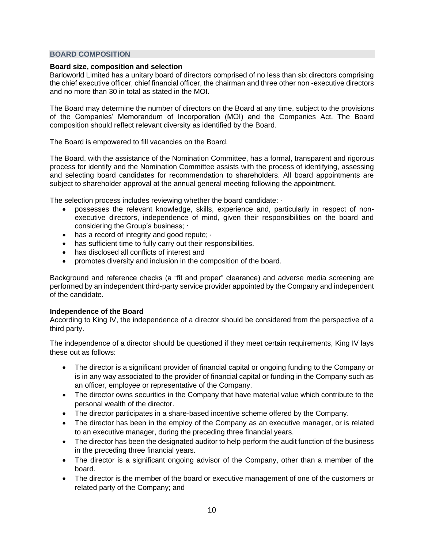## **BOARD COMPOSITION**

## **Board size, composition and selection**

Barloworld Limited has a unitary board of directors comprised of no less than six directors comprising the chief executive officer, chief financial officer, the chairman and three other non -executive directors and no more than 30 in total as stated in the MOI.

The Board may determine the number of directors on the Board at any time, subject to the provisions of the Companies' Memorandum of Incorporation (MOI) and the Companies Act. The Board composition should reflect relevant diversity as identified by the Board.

The Board is empowered to fill vacancies on the Board.

The Board, with the assistance of the Nomination Committee, has a formal, transparent and rigorous process for identify and the Nomination Committee assists with the process of identifying, assessing and selecting board candidates for recommendation to shareholders. All board appointments are subject to shareholder approval at the annual general meeting following the appointment.

The selection process includes reviewing whether the board candidate: ·

- possesses the relevant knowledge, skills, experience and, particularly in respect of nonexecutive directors, independence of mind, given their responsibilities on the board and considering the Group's business; ·
- has a record of integrity and good repute;  $\cdot$
- has sufficient time to fully carry out their responsibilities.
- has disclosed all conflicts of interest and
- promotes diversity and inclusion in the composition of the board.

Background and reference checks (a "fit and proper" clearance) and adverse media screening are performed by an independent third-party service provider appointed by the Company and independent of the candidate.

# **Independence of the Board**

According to King IV, the independence of a director should be considered from the perspective of a third party.

The independence of a director should be questioned if they meet certain requirements, King IV lays these out as follows:

- The director is a significant provider of financial capital or ongoing funding to the Company or is in any way associated to the provider of financial capital or funding in the Company such as an officer, employee or representative of the Company.
- The director owns securities in the Company that have material value which contribute to the personal wealth of the director.
- The director participates in a share-based incentive scheme offered by the Company.
- The director has been in the employ of the Company as an executive manager, or is related to an executive manager, during the preceding three financial years.
- The director has been the designated auditor to help perform the audit function of the business in the preceding three financial years.
- The director is a significant ongoing advisor of the Company, other than a member of the board.
- The director is the member of the board or executive management of one of the customers or related party of the Company; and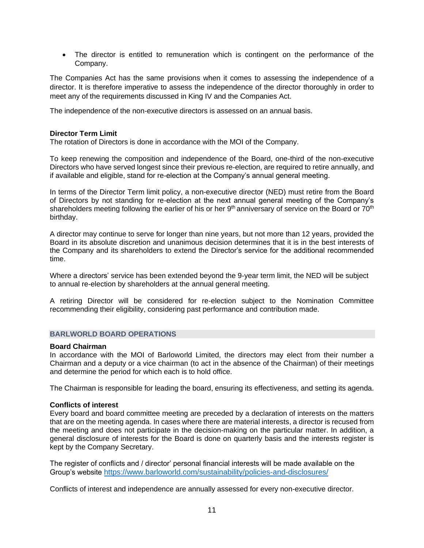• The director is entitled to remuneration which is contingent on the performance of the Company.

The Companies Act has the same provisions when it comes to assessing the independence of a director. It is therefore imperative to assess the independence of the director thoroughly in order to meet any of the requirements discussed in King IV and the Companies Act.

The independence of the non-executive directors is assessed on an annual basis.

## **Director Term Limit**

The rotation of Directors is done in accordance with the MOI of the Company.

To keep renewing the composition and independence of the Board, one-third of the non-executive Directors who have served longest since their previous re-election, are required to retire annually, and if available and eligible, stand for re-election at the Company's annual general meeting.

In terms of the Director Term limit policy, a non-executive director (NED) must retire from the Board of Directors by not standing for re-election at the next annual general meeting of the Company's shareholders meeting following the earlier of his or her 9<sup>th</sup> anniversary of service on the Board or 70<sup>th</sup> birthday.

A director may continue to serve for longer than nine years, but not more than 12 years, provided the Board in its absolute discretion and unanimous decision determines that it is in the best interests of the Company and its shareholders to extend the Director's service for the additional recommended time.

Where a directors' service has been extended beyond the 9-year term limit, the NED will be subject to annual re-election by shareholders at the annual general meeting.

A retiring Director will be considered for re-election subject to the Nomination Committee recommending their eligibility, considering past performance and contribution made.

### **BARLWORLD BOARD OPERATIONS**

#### **Board Chairman**

In accordance with the MOI of Barloworld Limited, the directors may elect from their number a Chairman and a deputy or a vice chairman (to act in the absence of the Chairman) of their meetings and determine the period for which each is to hold office.

The Chairman is responsible for leading the board, ensuring its effectiveness, and setting its agenda.

#### **Conflicts of interest**

Every board and board committee meeting are preceded by a declaration of interests on the matters that are on the meeting agenda. In cases where there are material interests, a director is recused from the meeting and does not participate in the decision-making on the particular matter. In addition, a general disclosure of interests for the Board is done on quarterly basis and the interests register is kept by the Company Secretary.

The register of conflicts and / director' personal financial interests will be made available on the Group's website <https://www.barloworld.com/sustainability/policies-and-disclosures/>

Conflicts of interest and independence are annually assessed for every non-executive director.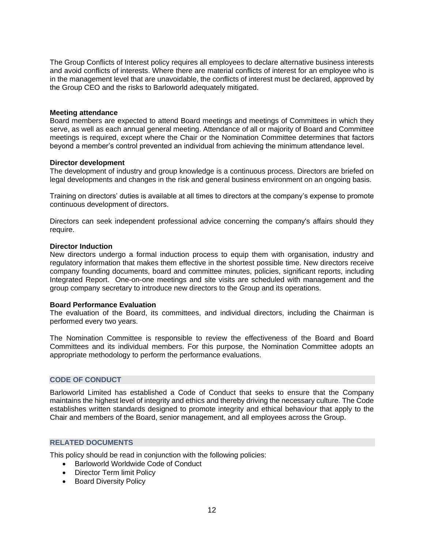The Group Conflicts of Interest policy requires all employees to declare alternative business interests and avoid conflicts of interests. Where there are material conflicts of interest for an employee who is in the management level that are unavoidable, the conflicts of interest must be declared, approved by the Group CEO and the risks to Barloworld adequately mitigated.

### **Meeting attendance**

Board members are expected to attend Board meetings and meetings of Committees in which they serve, as well as each annual general meeting. Attendance of all or majority of Board and Committee meetings is required, except where the Chair or the Nomination Committee determines that factors beyond a member's control prevented an individual from achieving the minimum attendance level.

#### **Director development**

The development of industry and group knowledge is a continuous process. Directors are briefed on legal developments and changes in the risk and general business environment on an ongoing basis.

Training on directors' duties is available at all times to directors at the company's expense to promote continuous development of directors.

Directors can seek independent professional advice concerning the company's affairs should they require.

## **Director Induction**

New directors undergo a formal induction process to equip them with organisation, industry and regulatory information that makes them effective in the shortest possible time. New directors receive company founding documents, board and committee minutes, policies, significant reports, including Integrated Report. One-on-one meetings and site visits are scheduled with management and the group company secretary to introduce new directors to the Group and its operations.

# **Board Performance Evaluation**

The evaluation of the Board, its committees, and individual directors, including the Chairman is performed every two years.

The Nomination Committee is responsible to review the effectiveness of the Board and Board Committees and its individual members. For this purpose, the Nomination Committee adopts an appropriate methodology to perform the performance evaluations.

#### **CODE OF CONDUCT**

Barloworld Limited has established a Code of Conduct that seeks to ensure that the Company maintains the highest level of integrity and ethics and thereby driving the necessary culture. The Code establishes written standards designed to promote integrity and ethical behaviour that apply to the Chair and members of the Board, senior management, and all employees across the Group.

## **RELATED DOCUMENTS**

This policy should be read in conjunction with the following policies:

- Barloworld Worldwide Code of Conduct
- Director Term limit Policy
- Board Diversity Policy